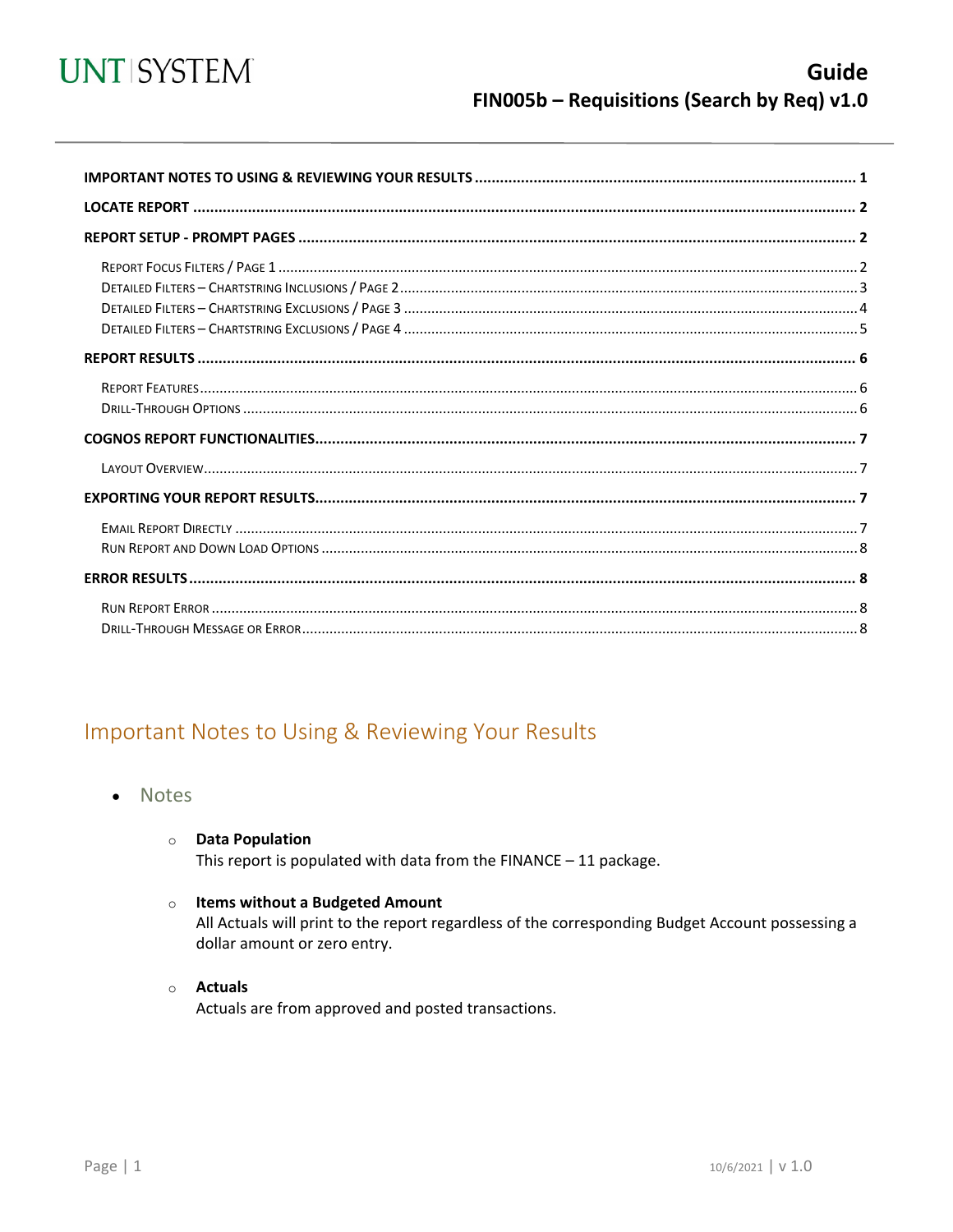

<span id="page-0-0"></span>

## Important Notes to Using & Reviewing Your Results

- Notes  $\bullet$ 
	- **O** Data Population

This report is populated with data from the FINANCE  $-11$  package.

#### o Items without a Budgeted Amount

All Actuals will print to the report regardless of the corresponding Budget Account possessing a dollar amount or zero entry.

#### o Actuals

Actuals are from approved and posted transactions.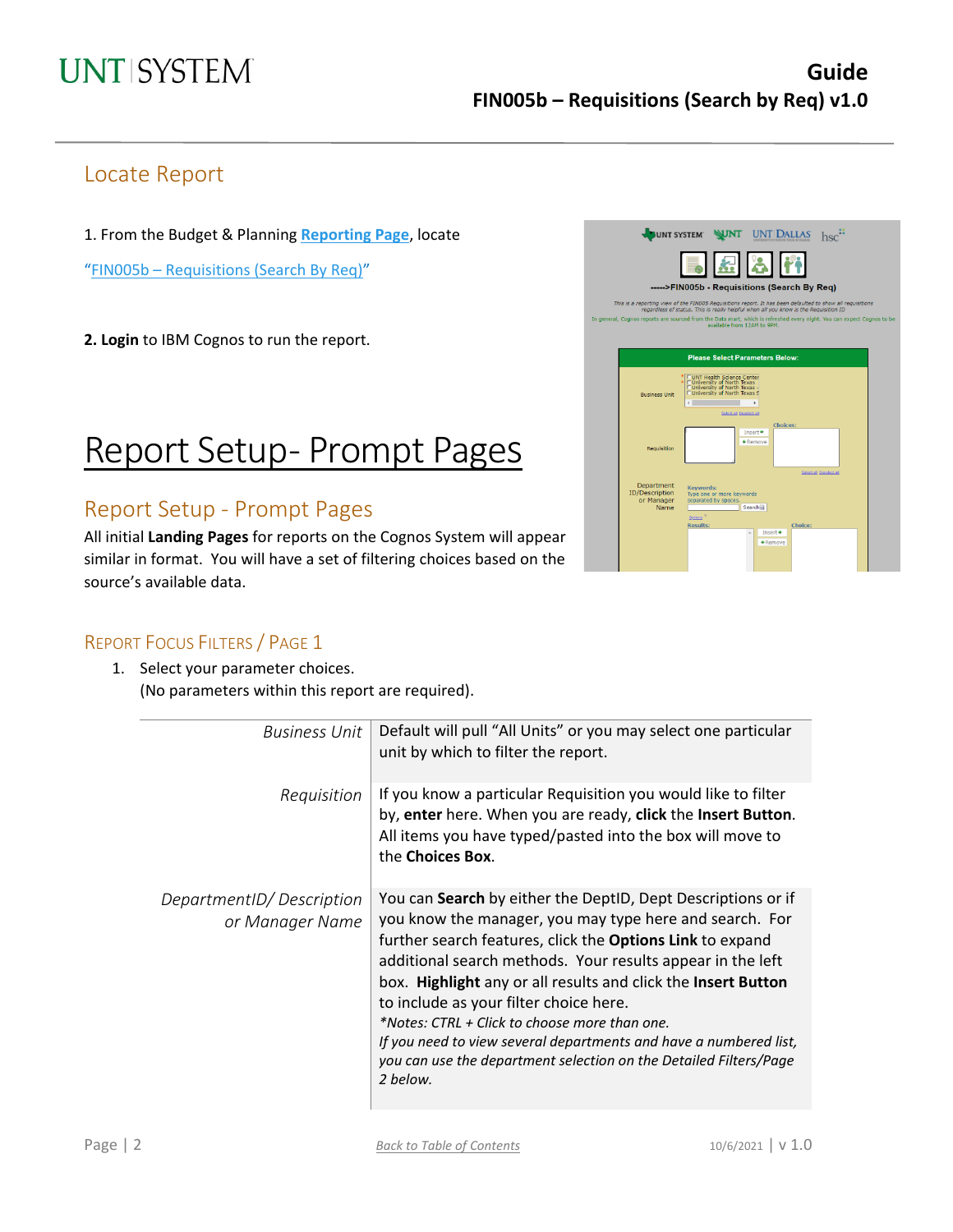## Locate Report

1. From the Budget & Planning **[Reporting Page](https://finance.untsystem.edu/reporting)**, locate

"FIN005b – Requisitions [\(Search By Req\)"](https://cognospd.admin.unt.edu/bi/?pathRef=.public_folders%2FUniversity%2Bof%2BNorth%2BTexas%2BSystem%2FPurchasing%2F-----%253EFIN005b%2B-%2BRequisitions%2B%2528Search%2BBy%2BReq%2529)

**2. Login** to IBM Cognos to run the report.

# Report Setup- Prompt Pages

## Report Setup - Prompt Pages

All initial **Landing Pages** for reports on the Cognos System will appear similar in format. You will have a set of filtering choices based on the source's available data.

| <b>UNT SYSTEM</b>                                         |                                                                                                                                                                                                    |                                           |         |                       |  |
|-----------------------------------------------------------|----------------------------------------------------------------------------------------------------------------------------------------------------------------------------------------------------|-------------------------------------------|---------|-----------------------|--|
|                                                           |                                                                                                                                                                                                    | B.                                        |         |                       |  |
|                                                           | ----->FIN005b - Requisitions (Search By Req)                                                                                                                                                       |                                           |         |                       |  |
|                                                           | This is a reporting view of the FIN005 Requisitions report. It has been defaulted to show all requisitions<br>regardless of status. This is really helpful when all you know is the Requisition ID |                                           |         |                       |  |
|                                                           | general, Cognos reports are sourced from the Data mart, which is refreshed every night. You can expect Cognos to be<br>available from 12AM to 9PM.                                                 |                                           |         |                       |  |
|                                                           |                                                                                                                                                                                                    |                                           |         |                       |  |
|                                                           |                                                                                                                                                                                                    |                                           |         |                       |  |
|                                                           | <b>Please Select Parameters Below:</b>                                                                                                                                                             |                                           |         |                       |  |
| <b>Business Unit</b>                                      | UNT Health Science Center<br>University of North Texas<br>University of North Texas -<br>University of North Texas S<br>Select all Deselect all                                                    | ×                                         |         |                       |  |
|                                                           |                                                                                                                                                                                                    | <b>Choices:</b>                           |         |                       |  |
| Requisition                                               |                                                                                                                                                                                                    | Insert <sup>→</sup><br>$\triangle$ Remove |         |                       |  |
|                                                           |                                                                                                                                                                                                    |                                           |         | Stiestial Deselectial |  |
| Department<br><b>ID/Description</b><br>or Manager<br>Name | <b>Keywords:</b><br>Type one or more keywords<br>separated by spaces.<br>Options <sup>3</sup>                                                                                                      | Search <sup>[2]</sup>                     |         |                       |  |
|                                                           | <b>Results:</b>                                                                                                                                                                                    | Insert                                    | Choice: |                       |  |
|                                                           |                                                                                                                                                                                                    | $*$ Remove                                |         |                       |  |

### REPORT FOCUS FILTERS / PAGE 1

1. Select your parameter choices. (No parameters within this report are required).

| <b>Business Unit</b>                        | Default will pull "All Units" or you may select one particular<br>unit by which to filter the report.                                                                                                                                                                                                                                                                                                                                                                                                                                                                       |
|---------------------------------------------|-----------------------------------------------------------------------------------------------------------------------------------------------------------------------------------------------------------------------------------------------------------------------------------------------------------------------------------------------------------------------------------------------------------------------------------------------------------------------------------------------------------------------------------------------------------------------------|
| Requisition                                 | If you know a particular Requisition you would like to filter<br>by, enter here. When you are ready, click the Insert Button.<br>All items you have typed/pasted into the box will move to<br>the Choices Box.                                                                                                                                                                                                                                                                                                                                                              |
| DepartmentID/Description<br>or Manager Name | You can Search by either the DeptID, Dept Descriptions or if<br>you know the manager, you may type here and search. For<br>further search features, click the <b>Options Link</b> to expand<br>additional search methods. Your results appear in the left<br>box. Highlight any or all results and click the Insert Button<br>to include as your filter choice here.<br>*Notes: CTRL + Click to choose more than one.<br>If you need to view several departments and have a numbered list,<br>you can use the department selection on the Detailed Filters/Page<br>2 below. |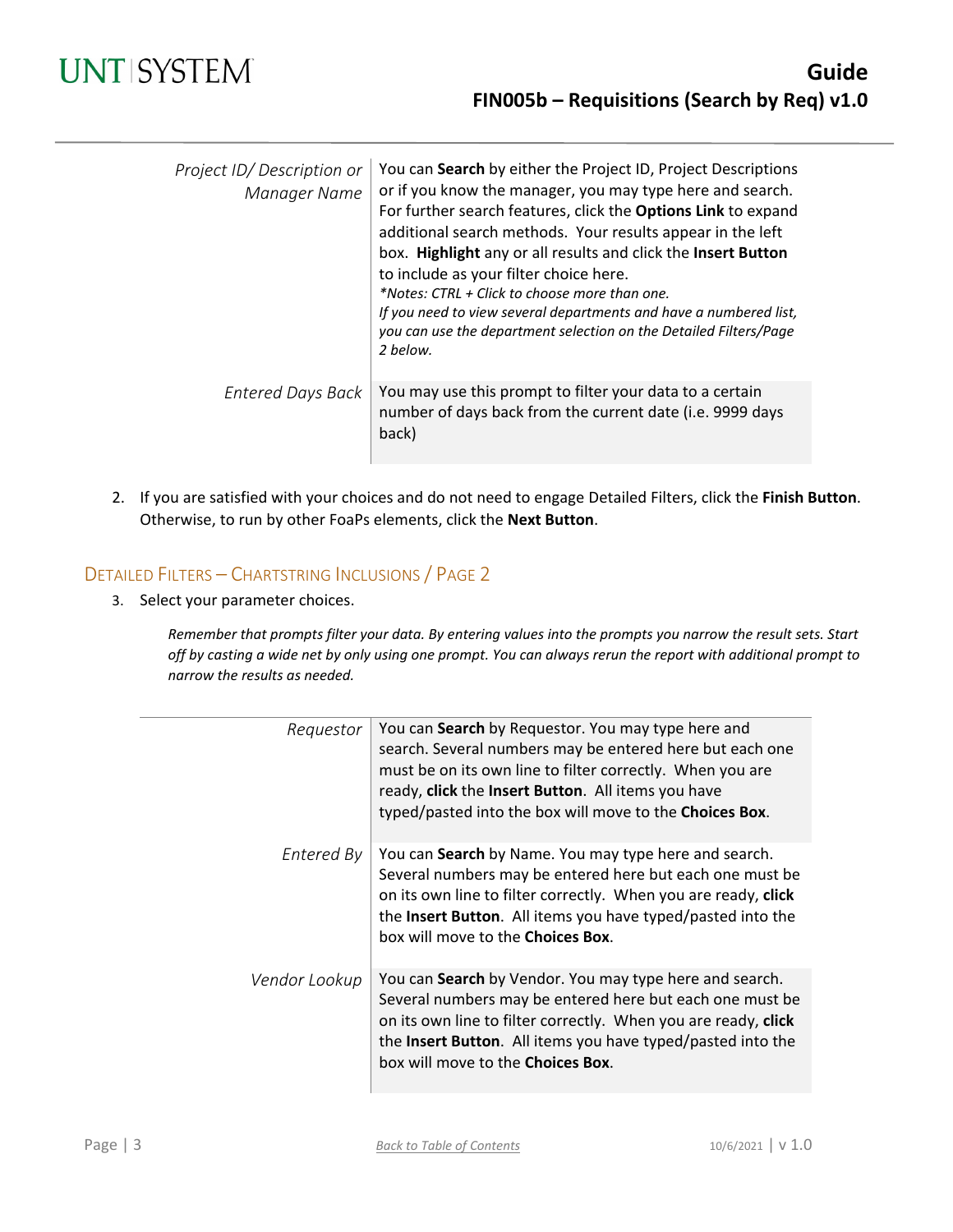| Project ID/ Description or<br>Manager Name | You can Search by either the Project ID, Project Descriptions<br>or if you know the manager, you may type here and search.<br>For further search features, click the Options Link to expand<br>additional search methods. Your results appear in the left<br>box. Highlight any or all results and click the Insert Button<br>to include as your filter choice here.<br>*Notes: CTRL + Click to choose more than one.<br>If you need to view several departments and have a numbered list,<br>you can use the department selection on the Detailed Filters/Page<br>2 below. |
|--------------------------------------------|-----------------------------------------------------------------------------------------------------------------------------------------------------------------------------------------------------------------------------------------------------------------------------------------------------------------------------------------------------------------------------------------------------------------------------------------------------------------------------------------------------------------------------------------------------------------------------|
| Entered Days Back                          | You may use this prompt to filter your data to a certain<br>number of days back from the current date (i.e. 9999 days<br>back)                                                                                                                                                                                                                                                                                                                                                                                                                                              |

2. If you are satisfied with your choices and do not need to engage Detailed Filters, click the **Finish Button**. Otherwise, to run by other FoaPs elements, click the **Next Button**.

### DETAILED FILTERS – CHARTSTRING INCLUSIONS / PAGE 2

3. Select your parameter choices.

*Remember that prompts filter your data. By entering values into the prompts you narrow the result sets. Start off by casting a wide net by only using one prompt. You can always rerun the report with additional prompt to narrow the results as needed.*

| Requestor     | You can Search by Requestor. You may type here and<br>search. Several numbers may be entered here but each one<br>must be on its own line to filter correctly. When you are<br>ready, click the Insert Button. All items you have<br>typed/pasted into the box will move to the Choices Box.    |
|---------------|-------------------------------------------------------------------------------------------------------------------------------------------------------------------------------------------------------------------------------------------------------------------------------------------------|
| Entered By    | You can Search by Name. You may type here and search.<br>Several numbers may be entered here but each one must be<br>on its own line to filter correctly. When you are ready, click<br>the Insert Button. All items you have typed/pasted into the<br>box will move to the <b>Choices Box</b> . |
| Vendor Lookup | You can Search by Vendor. You may type here and search.<br>Several numbers may be entered here but each one must be<br>on its own line to filter correctly. When you are ready, click<br>the Insert Button. All items you have typed/pasted into the<br>box will move to the Choices Box.       |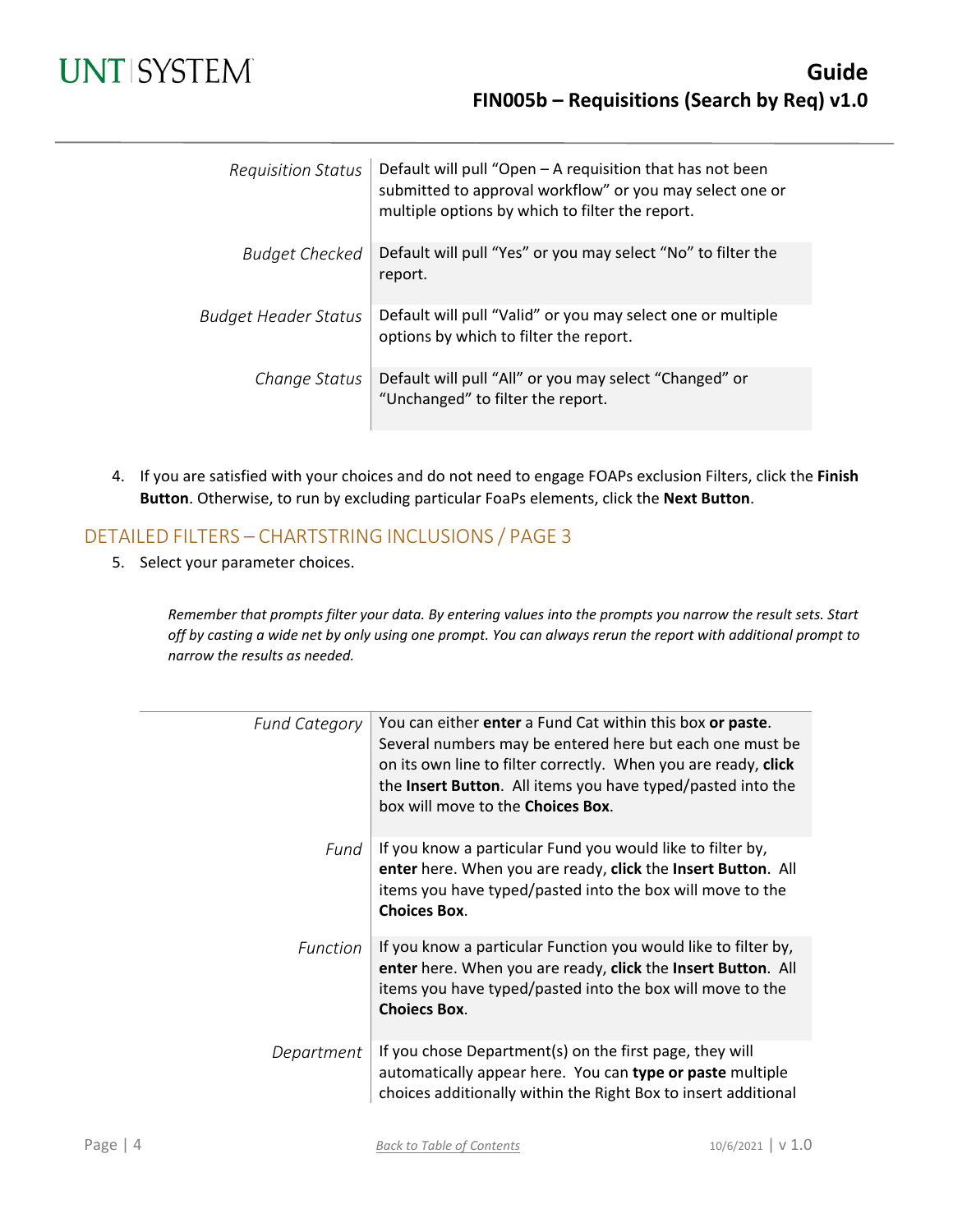# **UNT SYSTEM**

| <b>Requisition Status</b>   | Default will pull "Open - A requisition that has not been<br>submitted to approval workflow" or you may select one or<br>multiple options by which to filter the report. |
|-----------------------------|--------------------------------------------------------------------------------------------------------------------------------------------------------------------------|
| Budget Checked              | Default will pull "Yes" or you may select "No" to filter the<br>report.                                                                                                  |
| <b>Budget Header Status</b> | Default will pull "Valid" or you may select one or multiple<br>options by which to filter the report.                                                                    |
| Change Status               | Default will pull "All" or you may select "Changed" or<br>"Unchanged" to filter the report.                                                                              |

4. If you are satisfied with your choices and do not need to engage FOAPs exclusion Filters, click the **Finish Button**. Otherwise, to run by excluding particular FoaPs elements, click the **Next Button**.

### DETAILED FILTERS – CHARTSTRING INCLUSIONS / PAGE 3

5. Select your parameter choices.

*Remember that prompts filter your data. By entering values into the prompts you narrow the result sets. Start off by casting a wide net by only using one prompt. You can always rerun the report with additional prompt to narrow the results as needed.*

| <b>Fund Category</b> | You can either enter a Fund Cat within this box or paste.<br>Several numbers may be entered here but each one must be<br>on its own line to filter correctly. When you are ready, click<br>the Insert Button. All items you have typed/pasted into the<br>box will move to the <b>Choices Box</b> . |
|----------------------|-----------------------------------------------------------------------------------------------------------------------------------------------------------------------------------------------------------------------------------------------------------------------------------------------------|
| Fund                 | If you know a particular Fund you would like to filter by,<br>enter here. When you are ready, click the Insert Button. All<br>items you have typed/pasted into the box will move to the<br><b>Choices Box.</b>                                                                                      |
| <b>Function</b>      | If you know a particular Function you would like to filter by,<br>enter here. When you are ready, click the Insert Button. All<br>items you have typed/pasted into the box will move to the<br><b>Choiecs Box.</b>                                                                                  |
| Department           | If you chose Department(s) on the first page, they will<br>automatically appear here. You can type or paste multiple<br>choices additionally within the Right Box to insert additional                                                                                                              |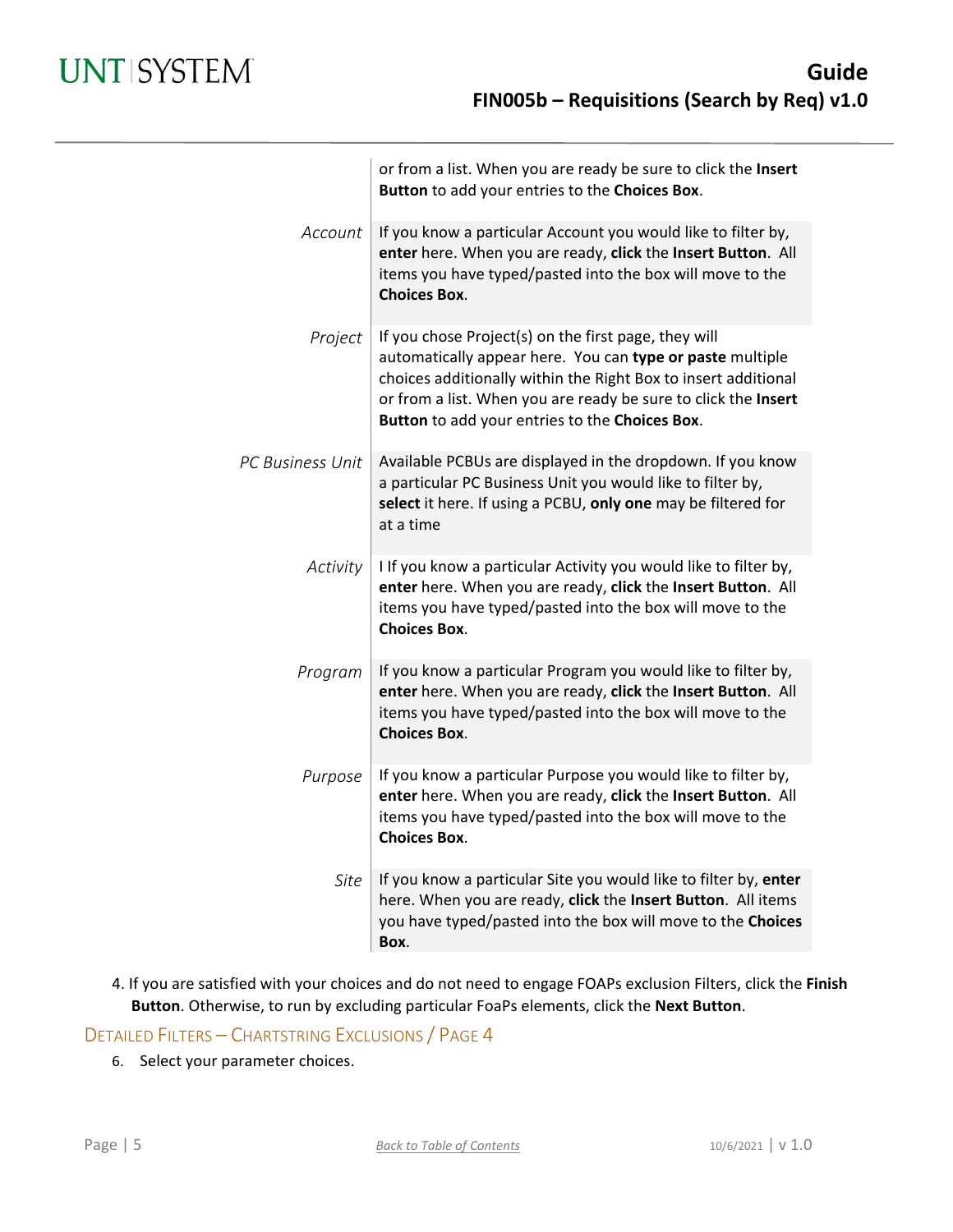|                  | or from a list. When you are ready be sure to click the Insert<br>Button to add your entries to the Choices Box.                                                                                                                                                                                        |
|------------------|---------------------------------------------------------------------------------------------------------------------------------------------------------------------------------------------------------------------------------------------------------------------------------------------------------|
| Account          | If you know a particular Account you would like to filter by,<br>enter here. When you are ready, click the Insert Button. All<br>items you have typed/pasted into the box will move to the<br><b>Choices Box.</b>                                                                                       |
| Project          | If you chose Project(s) on the first page, they will<br>automatically appear here. You can type or paste multiple<br>choices additionally within the Right Box to insert additional<br>or from a list. When you are ready be sure to click the Insert<br>Button to add your entries to the Choices Box. |
| PC Business Unit | Available PCBUs are displayed in the dropdown. If you know<br>a particular PC Business Unit you would like to filter by,<br>select it here. If using a PCBU, only one may be filtered for<br>at a time                                                                                                  |
| Activity         | I If you know a particular Activity you would like to filter by,<br>enter here. When you are ready, click the Insert Button. All<br>items you have typed/pasted into the box will move to the<br><b>Choices Box.</b>                                                                                    |
| Program          | If you know a particular Program you would like to filter by,<br>enter here. When you are ready, click the Insert Button. All<br>items you have typed/pasted into the box will move to the<br><b>Choices Box.</b>                                                                                       |
| Purpose          | If you know a particular Purpose you would like to filter by,<br>enter here. When you are ready, click the Insert Button. All<br>items you have typed/pasted into the box will move to the<br><b>Choices Box.</b>                                                                                       |
| Site             | If you know a particular Site you would like to filter by, enter<br>here. When you are ready, click the Insert Button. All items<br>you have typed/pasted into the box will move to the Choices<br>Box.                                                                                                 |

4. If you are satisfied with your choices and do not need to engage FOAPs exclusion Filters, click the **Finish Button**. Otherwise, to run by excluding particular FoaPs elements, click the **Next Button**.

DETAILED FILTERS – CHARTSTRING EXCLUSIONS / PAGE 4

6. Select your parameter choices.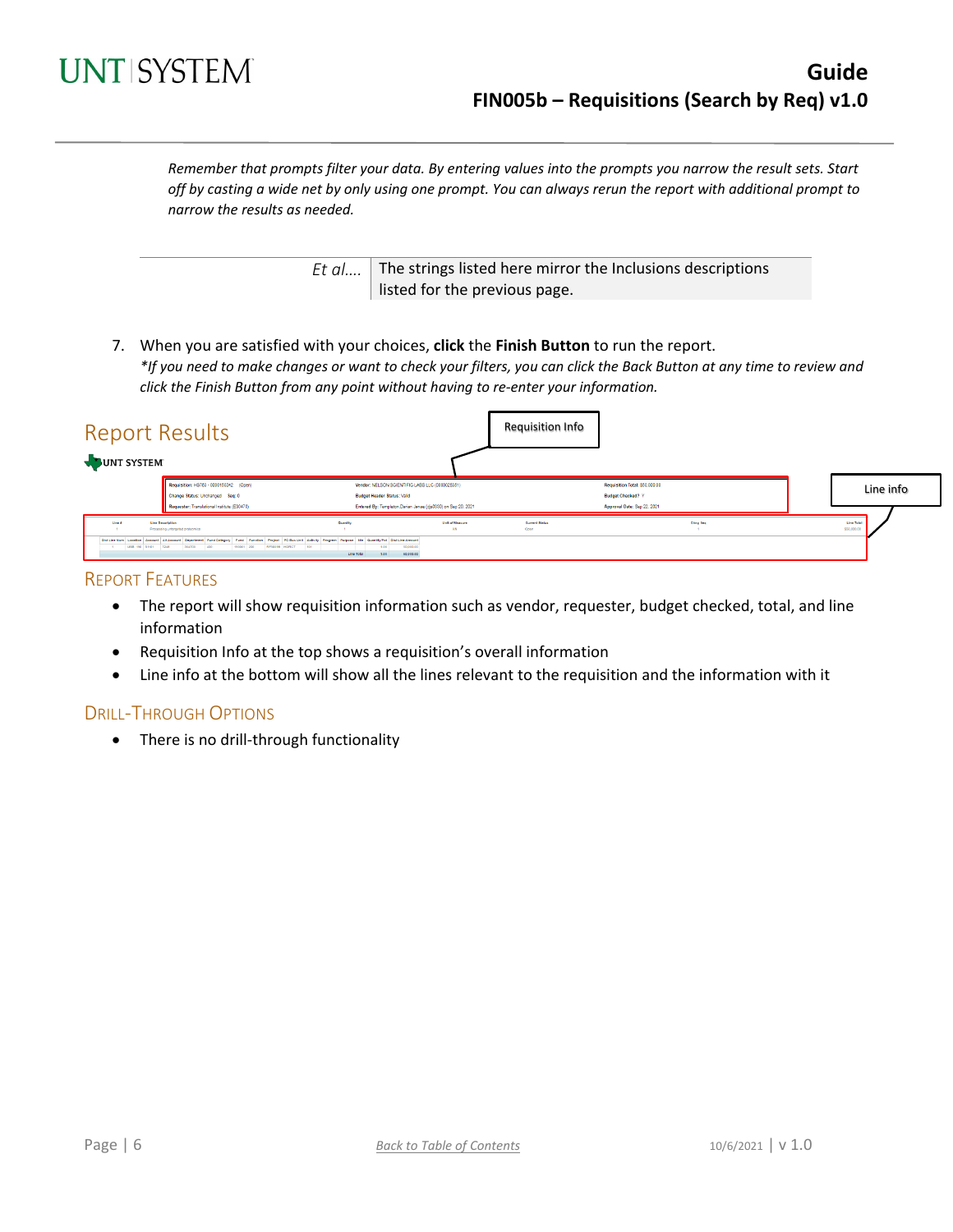

*Remember that prompts filter your data. By entering values into the prompts you narrow the result sets. Start off by casting a wide net by only using one prompt. You can always rerun the report with additional prompt to narrow the results as needed.*

> *Et al....* The strings listed here mirror the Inclusions descriptions listed for the previous page.

7. When you are satisfied with your choices, **click** the **Finish Button** to run the report. *\*If you need to make changes or want to check your filters, you can click the Back Button at any time to review and click the Finish Button from any point without having to re-enter your information.*

| <b>Report Results</b><br>UNT SYSTEM |                                                                                                                                                                                                                                                                 |                                                                                       |                                                               | <b>Requisition Info</b>       |                                                                                           |                           |
|-------------------------------------|-----------------------------------------------------------------------------------------------------------------------------------------------------------------------------------------------------------------------------------------------------------------|---------------------------------------------------------------------------------------|---------------------------------------------------------------|-------------------------------|-------------------------------------------------------------------------------------------|---------------------------|
|                                     | Requisition: HS783 - 0000150342 (Open)<br>Change Status: Unchanged Seq: 0<br>Requester: Translational Institute (E30470)                                                                                                                                        | Vendor: NELSON SCIENTIFIC LABS LLC (0000028351)<br><b>Budget Header Status: Valid</b> | Entered By: Templeton, Darian Janae (djs0330) on Sep 20, 2021 |                               | Requisition Total: \$50,000.00<br><b>Budget Checked? Y</b><br>Approval Date: Sep 22, 2021 | Line info                 |
| Line #<br>USB 190 51101 7248        | Line Desertation<br>Processing untargeted proteomics<br>DistLine Num Locollon Account AltAccount Department Fund Category Fund Function Project PC Bus Unit Activity Program Furpose Sts Guantity/Pct DistLine Amount<br>304700 400<br>190001 200 RF50098 HGRCT | Quantity<br>50,000.00<br>101<br>1,00<br>60,000.00<br>Line Total                       | Unit of Measure<br>AN                                         | <b>Current Status</b><br>Open | Chris Sea                                                                                 | Line Total<br>\$50,000.00 |

#### REPORT FEATURES

- The report will show requisition information such as vendor, requester, budget checked, total, and line information
- Requisition Info at the top shows a requisition's overall information
- Line info at the bottom will show all the lines relevant to the requisition and the information with it

#### DRILL-THROUGH OPTIONS

• There is no drill-through functionality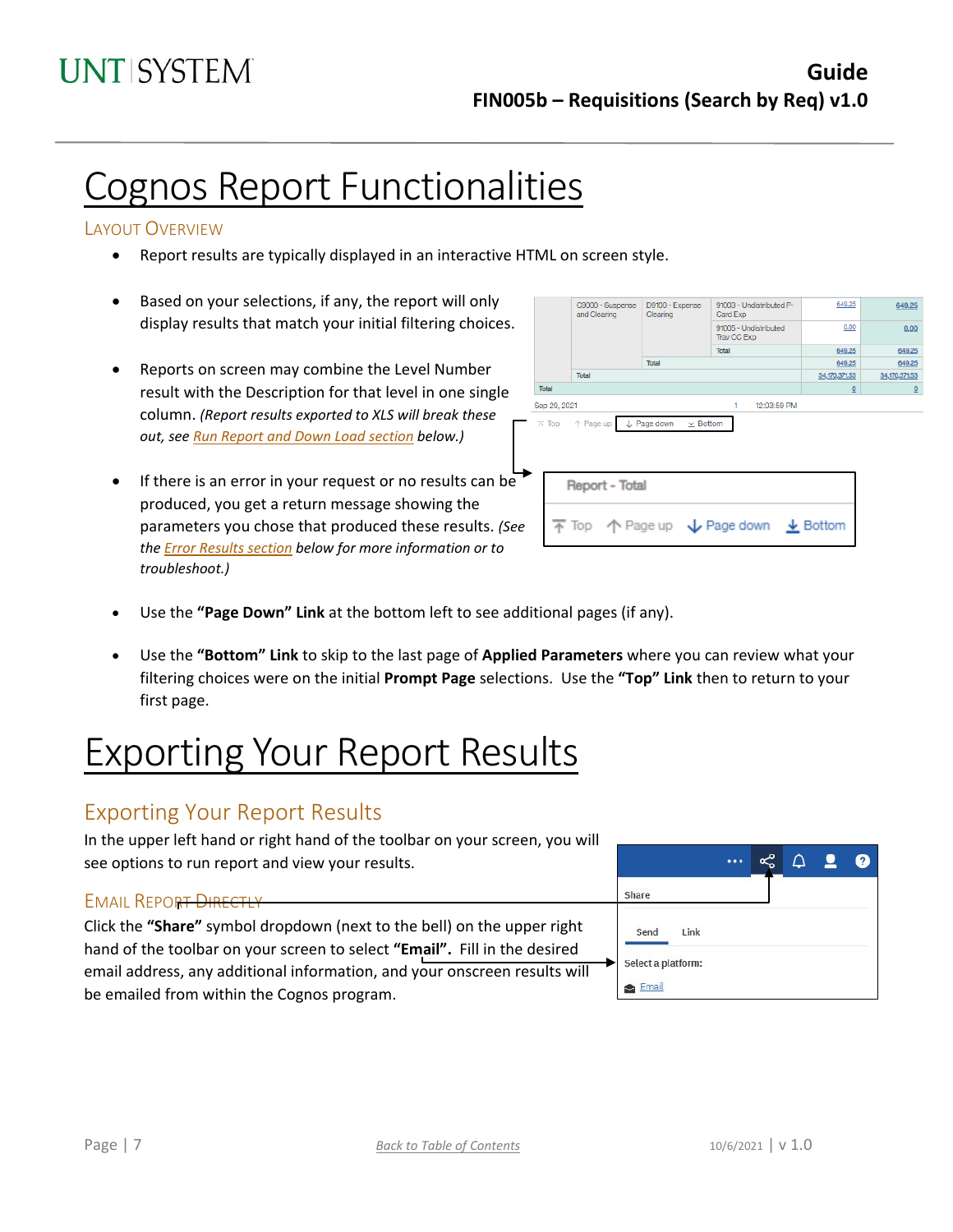# Cognos Report Functionalities

### LAYOUT OVERVIEW

- Report results are typically displayed in an interactive HTML on screen style.
- Based on your selections, if any, the report will only display results that match your initial filtering choices.
- Reports on screen may combine the Level Number result with the Description for that level in one single column. *(Report results exported to XLS will break these out, see Run Report and Down Load section below.)*
- If there is an error in your request or no results can be produced, you get a return message showing the parameters you chose that produced these results. *(See th[e Error Results section](#page-7-0) below for more information or to troubleshoot.)*

| C9000 - Suspense<br>and Clearing                                                        | D9100 - Expense<br>Clearing               | 91003 - Undistributed P-<br>Card Exp | 649.25          | 649.25                  |
|-----------------------------------------------------------------------------------------|-------------------------------------------|--------------------------------------|-----------------|-------------------------|
|                                                                                         |                                           | 91005 - Undistributed<br>Trav CC Exp | 0.00            | 0.00                    |
|                                                                                         |                                           | <b>Total</b>                         | 649.25          | 649.25                  |
|                                                                                         | Total                                     |                                      | 649.25          | 649.25                  |
| Total                                                                                   |                                           |                                      | 34,170,371.53   | 34,170,371.53           |
| Total                                                                                   |                                           |                                      | $\underline{0}$ | $\overline{\mathsf{o}}$ |
| Sep 29, 2021                                                                            |                                           | 12:03:59 PM<br>1                     |                 |                         |
| $\overline{\wedge}$ Top $\uparrow$ Page up                                              | $\downarrow$ Page down<br>$\times$ Bottom |                                      |                 |                         |
| <b>Report - Total</b>                                                                   |                                           |                                      |                 |                         |
| $\overline{\uparrow}$ Top $\uparrow$ Page up $\downarrow$ Page down $\downarrow$ Bottom |                                           |                                      |                 |                         |
|                                                                                         |                                           |                                      |                 |                         |

- Use the **"Page Down" Link** at the bottom left to see additional pages (if any).
- Use the **"Bottom" Link** to skip to the last page of **Applied Parameters** where you can review what your filtering choices were on the initial **Prompt Page** selections. Use the **"Top" Link** then to return to your first page.

# Exporting Your Report Results

# Exporting Your Report Results

In the upper left hand or right hand of the toolbar on your screen, you will see options to run report and view your results.

### EMAIL REPORT DIRECTLY

Click the **"Share"** symbol dropdown (next to the bell) on the upper right hand of the toolbar on your screen to select **"Email".** Fill in the desired email address, any additional information, and your onscreen results will be emailed from within the Cognos program.

|                    |  | Q | $\left  \mathbf{?} \right $ |
|--------------------|--|---|-----------------------------|
| Share              |  |   |                             |
| Send<br>Link       |  |   |                             |
| Select a platform: |  |   |                             |
| Email              |  |   |                             |